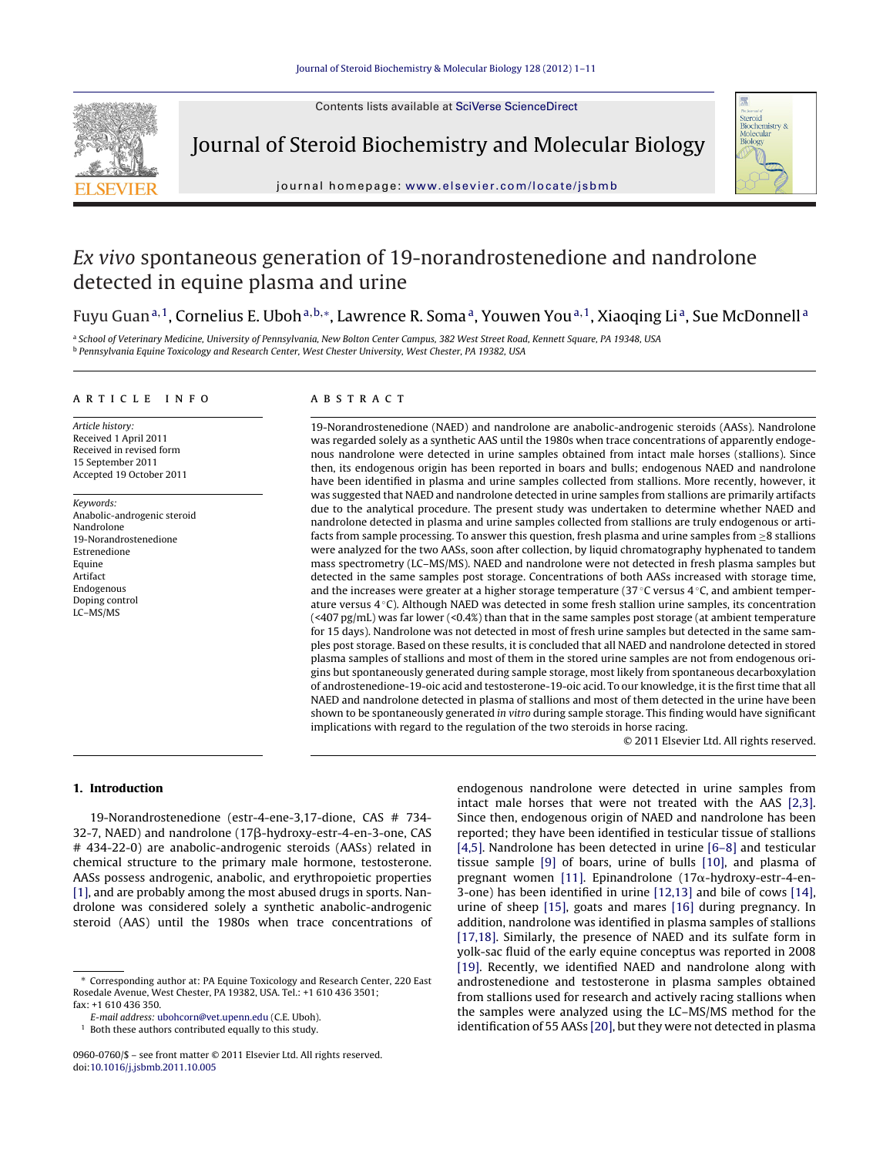Contents lists available at SciVerse [ScienceDirect](http://www.sciencedirect.com/science/journal/09600760)



Journal of Steroid Biochemistry and Molecular Biology



iournal homepage: www.elsevier.com/locate/isbmb

# Ex vivo spontaneous generation of 19-norandrostenedione and nandrolone detected in equine plasma and urine

## Fuyu Guan<sup>a, 1</sup>, Cornelius E. Uboh<sup>a, b,∗</sup>, Lawrence R. Soma<sup>a</sup>, Youwen You<sup>a, 1</sup>, Xiaoqing Li<sup>a</sup>, Sue McDonnell<sup>a</sup>

a School of Veterinary Medicine, University of Pennsylvania, New Bolton Center Campus, 382 West Street Road, Kennett Square, PA 19348, USA <sup>b</sup> Pennsylvania Equine Toxicology and Research Center, West Chester University, West Chester, PA 19382, USA

#### a r t i c l e i n f o

Article history: Received 1 April 2011 Received in revised form 15 September 2011 Accepted 19 October 2011

Keywords: Anabolic-androgenic steroid Nandrolone 19-Norandrostenedione Estrenedione Equine Artifact Endogenous Doping control LC–MS/MS

## A B S T R A C T

19-Norandrostenedione (NAED) and nandrolone are anabolic-androgenic steroids (AASs). Nandrolone was regarded solely as a synthetic AAS until the 1980s when trace concentrations of apparently endogenous nandrolone were detected in urine samples obtained from intact male horses (stallions). Since then, its endogenous origin has been reported in boars and bulls; endogenous NAED and nandrolone have been identified in plasma and urine samples collected from stallions. More recently, however, it was suggested that NAED and nandrolone detected in urine samples from stallions are primarily artifacts due to the analytical procedure. The present study was undertaken to determine whether NAED and nandrolone detected in plasma and urine samples collected from stallions are truly endogenous or artifacts from sample processing. To answer this question, fresh plasma and urine samples from ≥8 stallions were analyzed for the two AASs, soon after collection, by liquid chromatography hyphenated to tandem mass spectrometry (LC–MS/MS). NAED and nandrolone were not detected in fresh plasma samples but detected in the same samples post storage. Concentrations of both AASs increased with storage time, and the increases were greater at a higher storage temperature (37 ◦C versus 4 ◦C, and ambient temperature versus 4 ◦C). Although NAED was detected in some fresh stallion urine samples, its concentration  $(\leq 407 \text{ pg/mL})$  was far lower  $(\leq 0.4\%)$  than that in the same samples post storage (at ambient temperature for 15 days). Nandrolone was not detected in most of fresh urine samples but detected in the same samples post storage. Based on these results, it is concluded that all NAED and nandrolone detected in stored plasma samples of stallions and most of them in the stored urine samples are not from endogenous origins but spontaneously generated during sample storage, most likely from spontaneous decarboxylation of androstenedione-19-oic acid and testosterone-19-oic acid. To our knowledge, it is the first time that all NAED and nandrolone detected in plasma of stallions and most of them detected in the urine have been shown to be spontaneously generated in vitro during sample storage. This finding would have significant implications with regard to the regulation of the two steroids in horse racing.

© 2011 Elsevier Ltd. All rights reserved.

#### **1. Introduction**

19-Norandrostenedione (estr-4-ene-3,17-dione, CAS # 734- 32-7, NAED) and nandrolone (17ß-hydroxy-estr-4-en-3-one, CAS # 434-22-0) are anabolic-androgenic steroids (AASs) related in chemical structure to the primary male hormone, testosterone. AASs possess androgenic, anabolic, and erythropoietic properties [\[1\],](#page-9-0) and are probably among the most abused drugs in sports. Nandrolone was considered solely a synthetic anabolic-androgenic steroid (AAS) until the 1980s when trace concentrations of

endogenous nandrolone were detected in urine samples from intact male horses that were not treated with the AAS [\[2,3\].](#page-9-0) Since then, endogenous origin of NAED and nandrolone has been reported; they have been identified in testicular tissue of stallions [\[4,5\].](#page-9-0) Nandrolone has been detected in urine [\[6–8\]](#page-10-0) and testicular tissue sample [\[9\]](#page-10-0) of boars, urine of bulls [\[10\],](#page-10-0) and plasma of pregnant women [\[11\].](#page-10-0) Epinandrolone (17 $\alpha$ -hydroxy-estr-4-en-3-one) has been identified in urine [\[12,13\]](#page-10-0) and bile of cows [\[14\],](#page-10-0) urine of sheep [\[15\],](#page-10-0) goats and mares [\[16\]](#page-10-0) during pregnancy. In addition, nandrolone was identified in plasma samples of stallions [\[17,18\].](#page-10-0) Similarly, the presence of NAED and its sulfate form in yolk-sac fluid of the early equine conceptus was reported in 2008 [\[19\].](#page-10-0) Recently, we identified NAED and nandrolone along with androstenedione and testosterone in plasma samples obtained from stallions used for research and actively racing stallions when the samples were analyzed using the LC–MS/MS method for the identification of 55 AASs [\[20\],](#page-10-0) but they were not detected in plasma

<sup>∗</sup> Corresponding author at: PA Equine Toxicology and Research Center, 220 East Rosedale Avenue, West Chester, PA 19382, USA. Tel.: +1 610 436 3501; fax: +1 610 436 350.

E-mail address: [ubohcorn@vet.upenn.edu](mailto:ubohcorn@vet.upenn.edu) (C.E. Uboh).

Both these authors contributed equally to this study.

<sup>0960-0760/\$</sup> – see front matter © 2011 Elsevier Ltd. All rights reserved. doi:[10.1016/j.jsbmb.2011.10.005](dx.doi.org/10.1016/j.jsbmb.2011.10.005)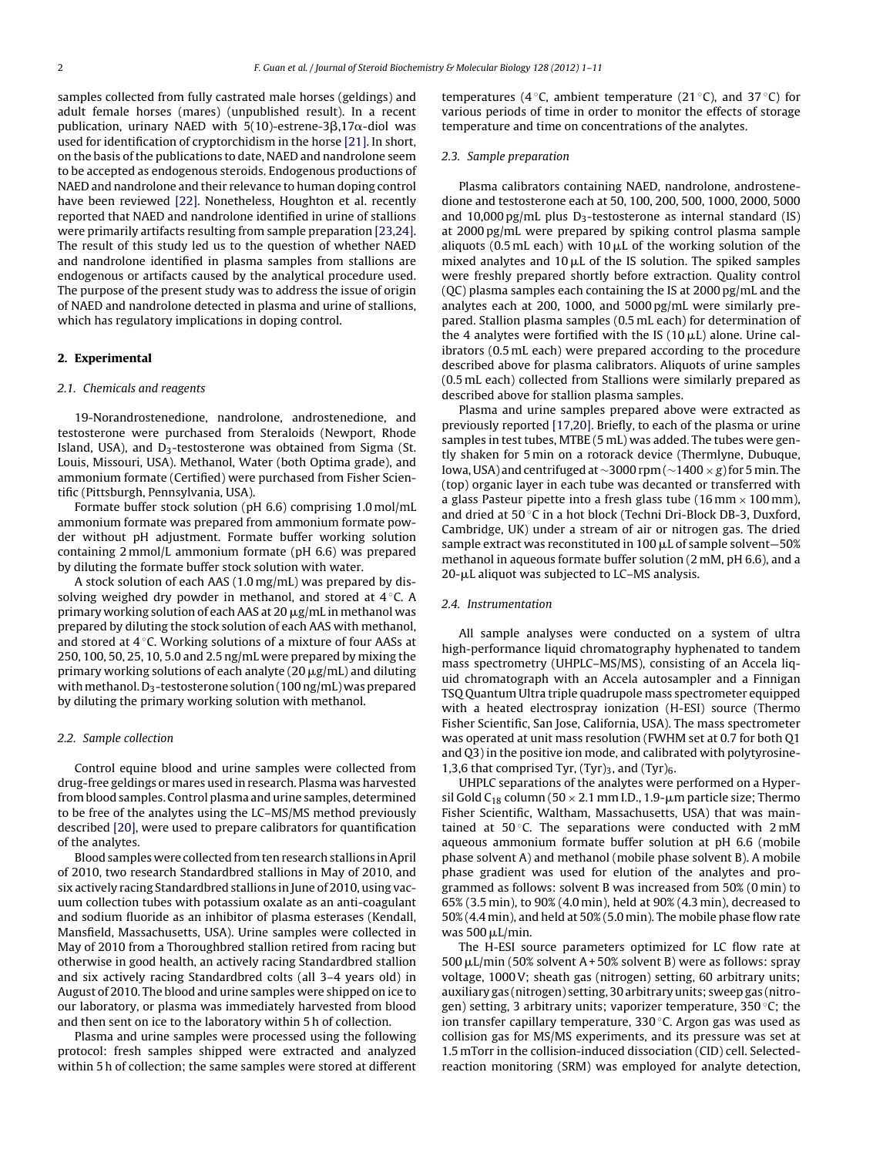samples collected from fully castrated male horses (geldings) and adult female horses (mares) (unpublished result). In a recent publication, urinary NAED with 5(10)-estrene-3 $\beta$ ,17 $\alpha$ -diol was used for identification of cryptorchidism in the horse [\[21\].](#page-10-0) In short, on the basis of the publications to date, NAED and nandrolone seem to be accepted as endogenous steroids. Endogenous productions of NAED and nandrolone and their relevance to human doping control have been reviewed [\[22\].](#page-10-0) Nonetheless, Houghton et al. recently reported that NAED and nandrolone identified in urine of stallions were primarily artifacts resulting from sample preparation [\[23,24\].](#page-10-0) The result of this study led us to the question of whether NAED and nandrolone identified in plasma samples from stallions are endogenous or artifacts caused by the analytical procedure used. The purpose of the present study was to address the issue of origin of NAED and nandrolone detected in plasma and urine of stallions, which has regulatory implications in doping control.

## **2. Experimental**

#### 2.1. Chemicals and reagents

19-Norandrostenedione, nandrolone, androstenedione, and testosterone were purchased from Steraloids (Newport, Rhode Island, USA), and  $D_3$ -testosterone was obtained from Sigma (St. Louis, Missouri, USA). Methanol, Water (both Optima grade), and ammonium formate (Certified) were purchased from Fisher Scientific (Pittsburgh, Pennsylvania, USA).

Formate buffer stock solution (pH 6.6) comprising 1.0 mol/mL ammonium formate was prepared from ammonium formate powder without pH adjustment. Formate buffer working solution containing 2 mmol/L ammonium formate (pH 6.6) was prepared by diluting the formate buffer stock solution with water.

A stock solution of each AAS (1.0 mg/mL) was prepared by dissolving weighed dry powder in methanol, and stored at  $4^\circ$ C. A primary working solution of each AAS at 20  $\mu$ g/mL in methanol was prepared by diluting the stock solution of each AAS with methanol, and stored at  $4^\circ$ C. Working solutions of a mixture of four AASs at 250, 100, 50, 25, 10, 5.0 and 2.5 ng/mL were prepared by mixing the primary working solutions of each analyte (20  $\mu$ g/mL) and diluting with methanol. D<sub>3</sub>-testosterone solution (100 ng/mL) was prepared by diluting the primary working solution with methanol.

#### 2.2. Sample collection

Control equine blood and urine samples were collected from drug-free geldings or mares used in research. Plasma was harvested from blood samples. Control plasma and urine samples, determined to be free of the analytes using the LC–MS/MS method previously described [\[20\],](#page-10-0) were used to prepare calibrators for quantification of the analytes.

Blood samples were collected fromtenresearchstallions inApril of 2010, two research Standardbred stallions in May of 2010, and six actively racing Standardbred stallions in June of 2010, using vacuum collection tubes with potassium oxalate as an anti-coagulant and sodium fluoride as an inhibitor of plasma esterases (Kendall, Mansfield, Massachusetts, USA). Urine samples were collected in May of 2010 from a Thoroughbred stallion retired from racing but otherwise in good health, an actively racing Standardbred stallion and six actively racing Standardbred colts (all 3–4 years old) in August of 2010. The blood and urine samples were shipped on ice to our laboratory, or plasma was immediately harvested from blood and then sent on ice to the laboratory within 5 h of collection.

Plasma and urine samples were processed using the following protocol: fresh samples shipped were extracted and analyzed within 5 h of collection; the same samples were stored at different temperatures (4  $\degree$ C, ambient temperature (21  $\degree$ C), and 37  $\degree$ C) for various periods of time in order to monitor the effects of storage temperature and time on concentrations of the analytes.

#### 2.3. Sample preparation

Plasma calibrators containing NAED, nandrolone, androstenedione and testosterone each at 50, 100, 200, 500, 1000, 2000, 5000 and 10,000 pg/mL plus  $D_3$ -testosterone as internal standard (IS) at 2000 pg/mL were prepared by spiking control plasma sample aliquots (0.5 mL each) with 10  $\mu$ L of the working solution of the mixed analytes and  $10 \mu L$  of the IS solution. The spiked samples were freshly prepared shortly before extraction. Quality control (QC) plasma samples each containing the IS at 2000 pg/mL and the analytes each at 200, 1000, and 5000 pg/mL were similarly prepared. Stallion plasma samples (0.5 mL each) for determination of the 4 analytes were fortified with the IS  $(10 \mu L)$  alone. Urine calibrators (0.5 mL each) were prepared according to the procedure described above for plasma calibrators. Aliquots of urine samples (0.5 mL each) collected from Stallions were similarly prepared as described above for stallion plasma samples.

Plasma and urine samples prepared above were extracted as previously reported [\[17,20\].](#page-10-0) Briefly, to each of the plasma or urine samples in test tubes, MTBE (5 mL) was added. The tubes were gently shaken for 5 min on a rotorack device (Thermlyne, Dubuque, Iowa, USA) and centrifuged at ∼3000 rpm (∼1400 × g) for 5 min. The (top) organic layer in each tube was decanted or transferred with a glass Pasteur pipette into a fresh glass tube (16 mm  $\times$  100 mm), and dried at 50 ◦C in a hot block (Techni Dri-Block DB-3, Duxford, Cambridge, UK) under a stream of air or nitrogen gas. The dried sample extract was reconstituted in 100  $\mu$ L of sample solvent-50% methanol in aqueous formate buffer solution (2 mM, pH 6.6), and a 20-µL aliquot was subjected to LC-MS analysis.

## 2.4. Instrumentation

All sample analyses were conducted on a system of ultra high-performance liquid chromatography hyphenated to tandem mass spectrometry (UHPLC–MS/MS), consisting of an Accela liquid chromatograph with an Accela autosampler and a Finnigan TSQ Quantum Ultra triple quadrupole mass spectrometer equipped with a heated electrospray ionization (H-ESI) source (Thermo Fisher Scientific, San Jose, California, USA). The mass spectrometer was operated at unit mass resolution (FWHM set at 0.7 for both Q1 and Q3) in the positive ion mode, and calibrated with polytyrosine-1,3,6 that comprised Tyr,  $(Tyr)_3$ , and  $(Tyr)_6$ .

UHPLC separations of the analytes were performed on a Hypersil Gold C<sub>18</sub> column (50  $\times$  2.1 mm I.D., 1.9- $\mu$ m particle size; Thermo Fisher Scientific, Waltham, Massachusetts, USA) that was maintained at  $50^{\circ}$ C. The separations were conducted with  $2 \text{ mM}$ aqueous ammonium formate buffer solution at pH 6.6 (mobile phase solvent A) and methanol (mobile phase solvent B). A mobile phase gradient was used for elution of the analytes and programmed as follows: solvent B was increased from 50% (0 min) to 65% (3.5 min), to 90% (4.0 min), held at 90% (4.3 min), decreased to 50% (4.4 min), and held at 50% (5.0 min). The mobile phase flow rate was  $500 \mu L/min$ .

The H-ESI source parameters optimized for LC flow rate at  $500 \mu L/min$  (50% solvent A + 50% solvent B) were as follows: spray voltage, 1000V; sheath gas (nitrogen) setting, 60 arbitrary units; auxiliary gas (nitrogen) setting, 30 arbitraryunits; sweepgas (nitrogen) setting, 3 arbitrary units; vaporizer temperature,  $350^{\circ}$ C; the ion transfer capillary temperature, 330 ◦C. Argon gas was used as collision gas for MS/MS experiments, and its pressure was set at 1.5 mTorr in the collision-induced dissociation (CID) cell. Selectedreaction monitoring (SRM) was employed for analyte detection,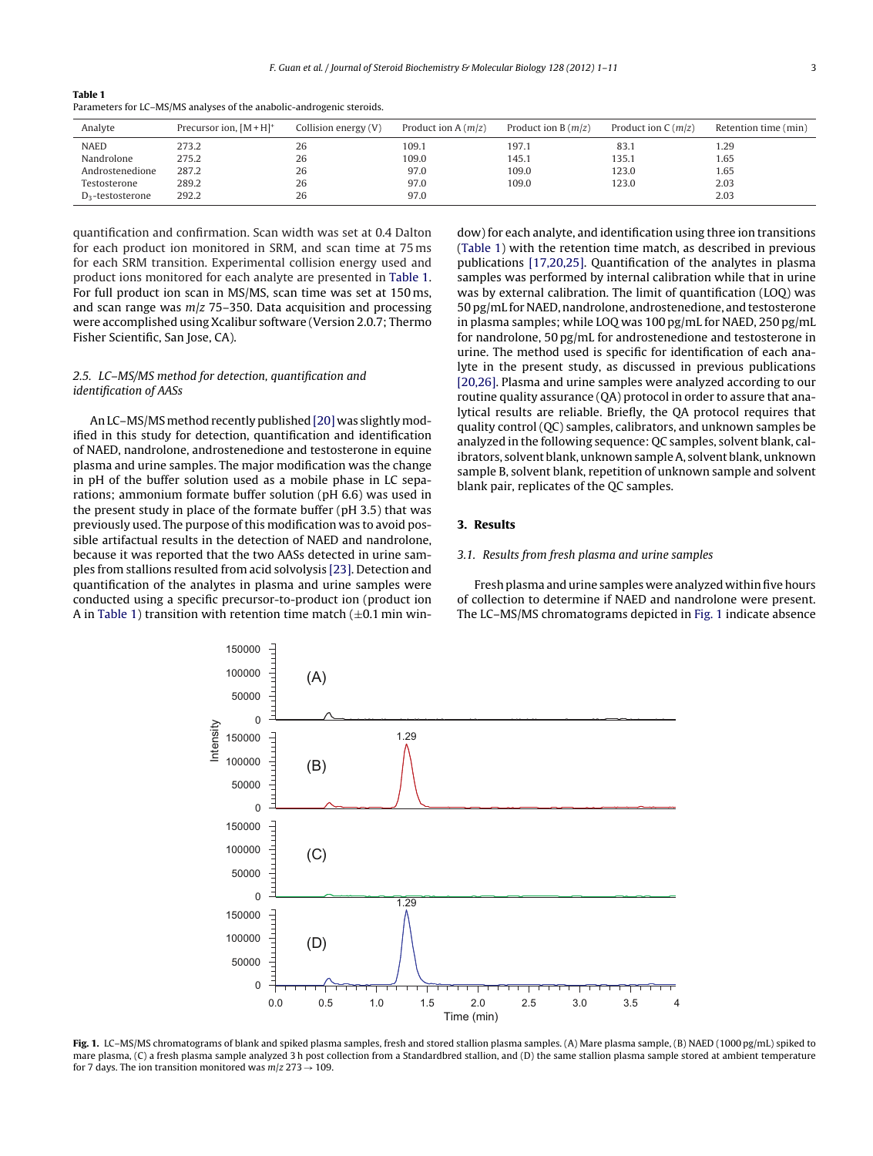#### **Table 1**

Parameters for LC–MS/MS analyses of the anabolic-androgenic steroids.

| Analyte             | Precursor ion, $[M+H]^+$ | Collision energy (V) | Product ion A $(m/z)$ | Product ion B $(m/z)$ | Product ion $C(m/z)$ | Retention time (min) |
|---------------------|--------------------------|----------------------|-----------------------|-----------------------|----------------------|----------------------|
| <b>NAED</b>         | 273.2                    | 26                   | 109.1                 | 197.1                 | 83.1                 | 1.29                 |
| Nandrolone          | 275.2                    | 26                   | 109.0                 | 145.1                 | 135.1                | 1.65                 |
| Androstenedione     | 287.2                    | 26                   | 97.0                  | 109.0                 | 123.0                | 1.65                 |
| Testosterone        | 289.2                    | 26                   | 97.0                  | 109.0                 | 123.0                | 2.03                 |
| $D_3$ -testosterone | 292.2                    | 26                   | 97.0                  |                       |                      | 2.03                 |

quantification and confirmation. Scan width was set at 0.4 Dalton for each product ion monitored in SRM, and scan time at 75 ms for each SRM transition. Experimental collision energy used and product ions monitored for each analyte are presented in Table 1. For full product ion scan in MS/MS, scan time was set at 150 ms, and scan range was  $m/z$  75–350. Data acquisition and processing were accomplished using Xcalibur software (Version 2.0.7; Thermo Fisher Scientific, San Jose, CA).

## 2.5. LC–MS/MS method for detection, quantification and identification of AASs

An LC-MS/MS method recently published [\[20\]](#page-10-0) was slightly modified in this study for detection, quantification and identification of NAED, nandrolone, androstenedione and testosterone in equine plasma and urine samples. The major modification was the change in pH of the buffer solution used as a mobile phase in LC separations; ammonium formate buffer solution (pH 6.6) was used in the present study in place of the formate buffer (pH 3.5) that was previously used. The purpose of this modification was to avoid possible artifactual results in the detection of NAED and nandrolone, because it was reported that the two AASs detected in urine samples from stallions resulted from acid solvolysis [\[23\].](#page-10-0) Detection and quantification of the analytes in plasma and urine samples were conducted using a specific precursor-to-product ion (product ion A in Table 1) transition with retention time match  $(\pm 0.1 \text{ min}$  window) for each analyte, and identification using three ion transitions (Table 1) with the retention time match, as described in previous publications [\[17,20,25\].](#page-10-0) Quantification of the analytes in plasma samples was performed by internal calibration while that in urine was by external calibration. The limit of quantification (LOQ) was 50 pg/mL for NAED, nandrolone, androstenedione, and testosterone in plasma samples; while LOQ was 100 pg/mL for NAED, 250 pg/mL for nandrolone, 50 pg/mL for androstenedione and testosterone in urine. The method used is specific for identification of each analyte in the present study, as discussed in previous publications [\[20,26\].](#page-10-0) Plasma and urine samples were analyzed according to our routine quality assurance (QA) protocol in order to assure that analytical results are reliable. Briefly, the QA protocol requires that quality control (QC) samples, calibrators, and unknown samples be analyzed in the following sequence: QC samples, solvent blank, calibrators, solvent blank, unknown sample A, solvent blank, unknown sample B, solvent blank, repetition of unknown sample and solvent blank pair, replicates of the QC samples.

## **3. Results**

#### 3.1. Results from fresh plasma and urine samples

Fresh plasma and urine samples were analyzed withinfive hours of collection to determine if NAED and nandrolone were present. The LC–MS/MS chromatograms depicted in Fig. 1 indicate absence



**Fig. 1.** LC–MS/MS chromatograms of blank and spiked plasma samples, fresh and stored stallion plasma samples. (A) Mare plasma sample, (B) NAED (1000 pg/mL) spiked to mare plasma, (C) a fresh plasma sample analyzed 3 h post collection from a Standardbred stallion, and (D) the same stallion plasma sample stored at ambient temperature for 7 days. The ion transition monitored was  $m/z$  273  $\rightarrow$  109.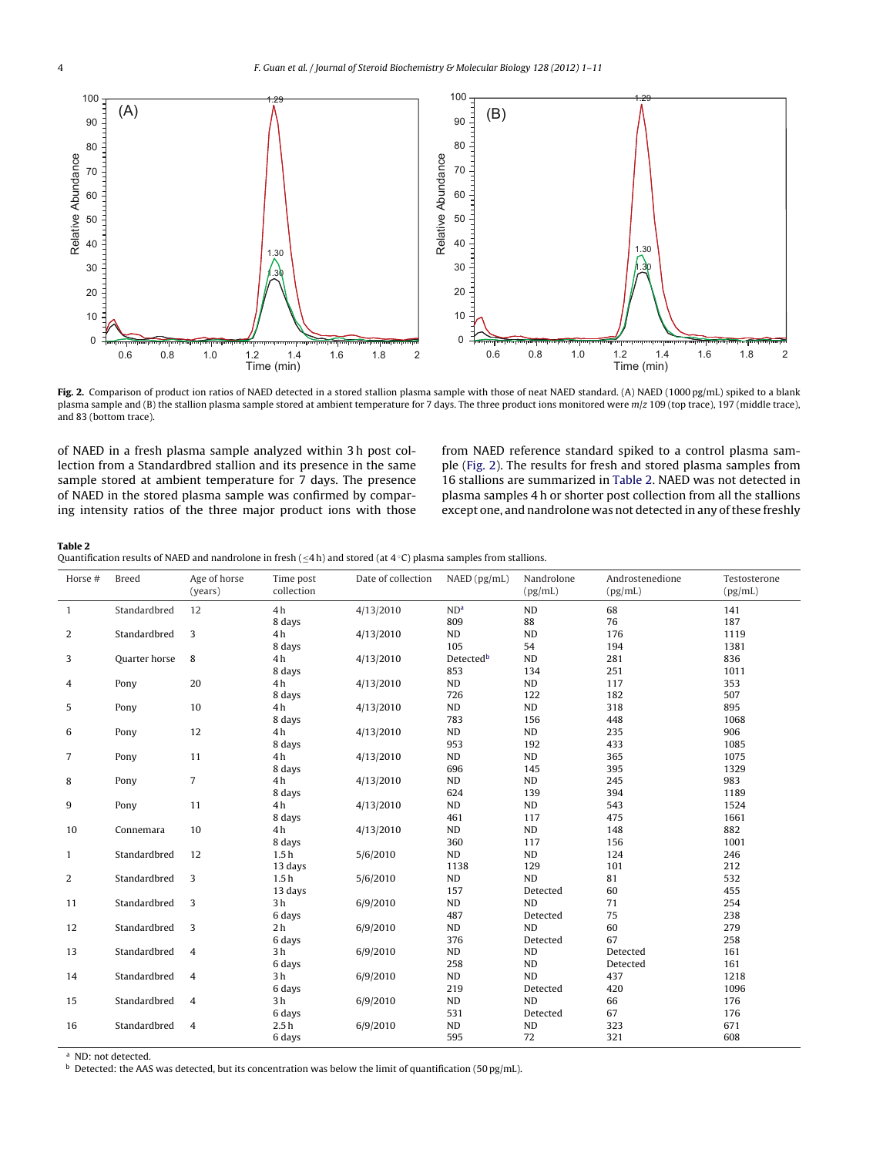<span id="page-3-0"></span>

**Fig. 2.** Comparison of product ion ratios of NAED detected in a stored stallion plasma sample with those of neat NAED standard. (A) NAED (1000 pg/mL) spiked to a blank plasma sample and (B) the stallion plasma sample stored at ambient temperature for 7 days. The three product ions monitored were m/z 109 (top trace), 197 (middle trace), and 83 (bottom trace).

of NAED in a fresh plasma sample analyzed within 3 h post collection from a Standardbred stallion and its presence in the same sample stored at ambient temperature for 7 days. The presence of NAED in the stored plasma sample was confirmed by comparing intensity ratios of the three major product ions with those from NAED reference standard spiked to a control plasma sample (Fig. 2). The results for fresh and stored plasma samples from 16 stallions are summarized in Table 2. NAED was not detected in plasma samples 4 h or shorter post collection from all the stallions except one, and nandrolone was not detected in any of these freshly

#### **Table 2**

Quantification results of NAED and nandrolone in fresh ( $\leq$ 4 h) and stored (at 4 °C) plasma samples from stallions.

| Horse #        | <b>Breed</b>  | Age of horse<br>(years) | Time post<br>collection | Date of collection | N AED (pg/mL)         | Nandrolone<br>(pg/mL) | Androstenedione<br>(pg/mL) | Testosterone<br>(pg/mL) |
|----------------|---------------|-------------------------|-------------------------|--------------------|-----------------------|-----------------------|----------------------------|-------------------------|
| $\mathbf{1}$   | Standardbred  | 12                      | 4h                      | 4/13/2010          | ND <sup>a</sup>       | <b>ND</b>             | 68                         | 141                     |
|                |               |                         | 8 days                  |                    | 809                   | 88                    | 76                         | 187                     |
| 2              | Standardbred  | 3                       | 4 h                     | 4/13/2010          | ND                    | ND                    | 176                        | 1119                    |
|                |               |                         | 8 days                  |                    | 105                   | 54                    | 194                        | 1381                    |
| 3              | Quarter horse | 8                       | 4h                      | 4/13/2010          | Detected <sup>b</sup> | ND                    | 281                        | 836                     |
|                |               |                         | 8 days                  |                    | 853                   | 134                   | 251                        | 1011                    |
| 4              | Pony          | 20                      | 4h                      | 4/13/2010          | ND                    | ND                    | 117                        | 353                     |
|                |               |                         | 8 days                  |                    | 726                   | 122                   | 182                        | 507                     |
| 5              | Pony          | 10                      | 4h                      | 4/13/2010          | ND                    | ND                    | 318                        | 895                     |
|                |               |                         | 8 days                  |                    | 783                   | 156                   | 448                        | 1068                    |
| 6              | Pony          | 12                      | 4 h                     | 4/13/2010          | ND                    | ND                    | 235                        | 906                     |
|                |               |                         | 8 days                  |                    | 953                   | 192                   | 433                        | 1085                    |
| $\overline{7}$ | Pony          | 11                      | 4 h                     | 4/13/2010          | ND                    | ND                    | 365                        | 1075                    |
|                |               |                         | 8 days                  |                    | 696                   | 145                   | 395                        | 1329                    |
| 8              | Pony          | $\overline{7}$          | 4 <sub>h</sub>          | 4/13/2010          | ND                    | ND                    | 245                        | 983                     |
|                |               |                         | 8 days                  |                    | 624                   | 139                   | 394                        | 1189                    |
| 9              | Pony          | 11                      | 4 h                     | 4/13/2010          | ND                    | ND                    | 543                        | 1524                    |
|                |               |                         | 8 days                  |                    | 461                   | 117                   | 475                        | 1661                    |
| 10             | Connemara     | 10                      | 4 h                     | 4/13/2010          | ND                    | ND                    | 148                        | 882                     |
|                |               |                         | 8 days                  |                    | 360                   | 117                   | 156                        | 1001                    |
| $\mathbf{1}$   | Standardbred  | 12                      | 1.5 <sub>h</sub>        | 5/6/2010           | ND                    | ND                    | 124                        | 246                     |
|                |               |                         | 13 days                 |                    | 1138                  | 129                   | 101                        | 212                     |
| 2              | Standardbred  | 3                       | 1.5 <sub>h</sub>        | 5/6/2010           | ND                    | <b>ND</b>             | 81                         | 532                     |
|                |               |                         | 13 days                 |                    | 157                   | Detected              | 60                         | 455                     |
| 11             | Standardbred  | 3                       | 3 h                     | 6/9/2010           | ND                    | <b>ND</b>             | 71                         | 254                     |
|                |               |                         | 6 days                  |                    | 487                   | Detected              | 75                         | 238                     |
| 12             | Standardbred  | 3                       | 2 <sub>h</sub>          | 6/9/2010           | ND                    | ND                    | 60                         | 279                     |
|                |               |                         | 6 days                  |                    | 376                   | Detected              | 67                         | 258                     |
| 13             | Standardbred  | $\overline{4}$          | 3 h                     | 6/9/2010           | ND                    | ND                    | Detected                   | 161                     |
|                |               |                         | 6 days                  |                    | 258                   | <b>ND</b>             | Detected                   | 161                     |
| 14             | Standardbred  | $\overline{4}$          | 3 <sub>h</sub>          | 6/9/2010           | ND                    | <b>ND</b>             | 437                        | 1218                    |
|                |               |                         | 6 days                  |                    | 219                   | Detected              | 420                        | 1096                    |
| 15             | Standardbred  | 4                       | 3 <sub>h</sub>          | 6/9/2010           | ND                    | <b>ND</b>             | 66                         | 176                     |
|                |               |                         | 6 days                  |                    | 531                   | Detected              | 67                         | 176                     |
| 16             | Standardbred  | 4                       | 2.5h                    | 6/9/2010           | ND                    | ND                    | 323                        | 671                     |
|                |               |                         | 6 days                  |                    | 595                   | 72                    | 321                        | 608                     |

<sup>a</sup> ND: not detected.

b Detected: the AAS was detected, but its concentration was below the limit of quantification (50 pg/mL).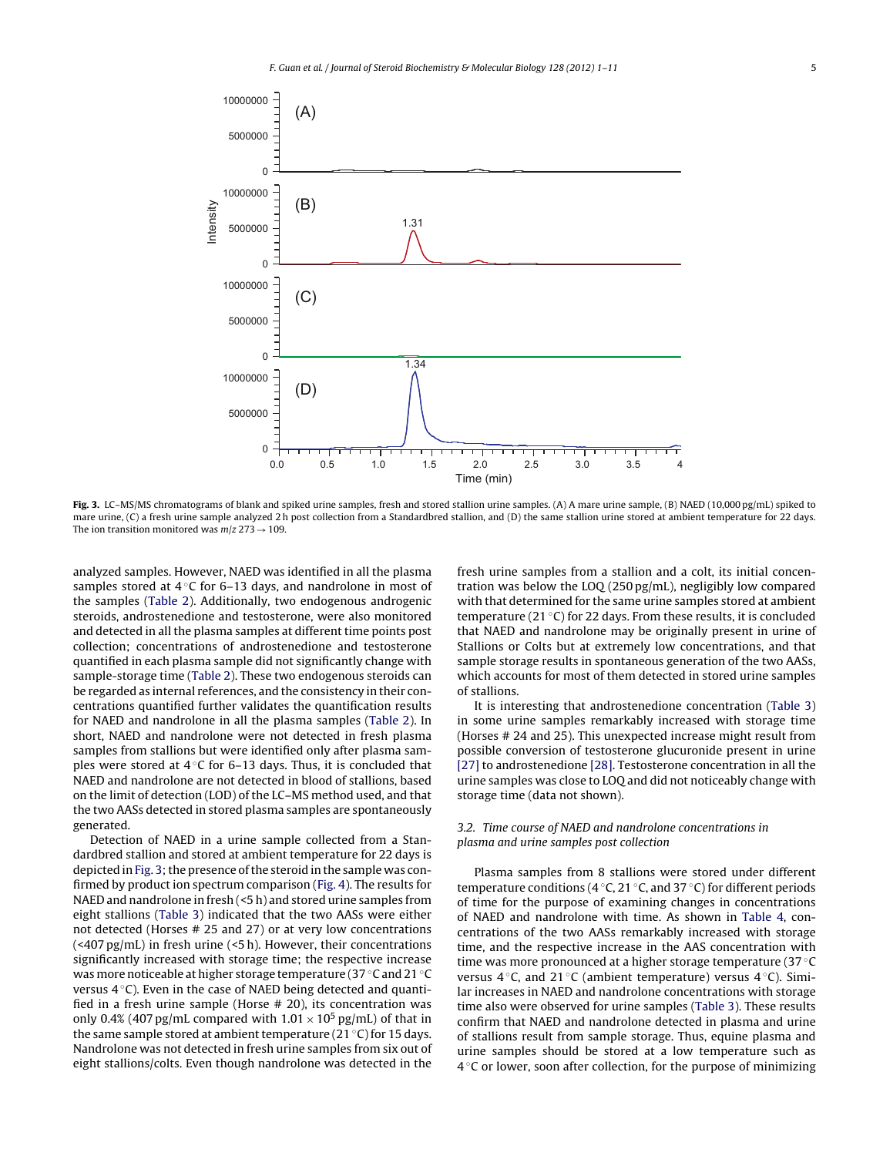

**Fig. 3.** LC–MS/MS chromatograms of blank and spiked urine samples, fresh and stored stallion urine samples. (A) A mare urine sample, (B) NAED (10,000 pg/mL) spiked to mare urine, (C) a fresh urine sample analyzed 2 h post collection from a Standardbred stallion, and (D) the same stallion urine stored at ambient temperature for 22 days. The ion transition monitored was  $m/z$  273  $\rightarrow$  109.

analyzed samples. However, NAED was identified in all the plasma samples stored at  $4^\circ$ C for 6–13 days, and nandrolone in most of the samples ([Table](#page-3-0) 2). Additionally, two endogenous androgenic steroids, androstenedione and testosterone, were also monitored and detected in all the plasma samples at different time points post collection; concentrations of androstenedione and testosterone quantified in each plasma sample did not significantly change with sample-storage time [\(Table](#page-3-0) 2). These two endogenous steroids can be regarded as internal references, and the consistency in their concentrations quantified further validates the quantification results for NAED and nandrolone in all the plasma samples ([Table](#page-3-0) 2). In short, NAED and nandrolone were not detected in fresh plasma samples from stallions but were identified only after plasma samples were stored at  $4 °C$  for 6–13 days. Thus, it is concluded that NAED and nandrolone are not detected in blood of stallions, based on the limit of detection (LOD) of the LC–MS method used, and that the two AASs detected in stored plasma samples are spontaneously generated.

Detection of NAED in a urine sample collected from a Standardbred stallion and stored at ambient temperature for 22 days is depicted in Fig. 3; the presence of the steroid in the sample was confirmed by product ion spectrum comparison [\(Fig.](#page-5-0) 4). The results for NAED and nandrolone in fresh (<5 h) and stored urine samples from eight stallions [\(Table](#page-6-0) 3) indicated that the two AASs were either not detected (Horses # 25 and 27) or at very low concentrations (<407 pg/mL) in fresh urine (<5 h). However, their concentrations significantly increased with storage time; the respective increase was more noticeable at higher storage temperature (37 ◦C and 21 ◦C versus  $4^\circ$ C). Even in the case of NAED being detected and quantified in a fresh urine sample (Horse # 20), its concentration was only 0.4% (407 pg/mL compared with  $1.01 \times 10^5$  pg/mL) of that in the same sample stored at ambient temperature (21  $\degree$ C) for 15 days. Nandrolone was not detected in fresh urine samples from six out of eight stallions/colts. Even though nandrolone was detected in the fresh urine samples from a stallion and a colt, its initial concentration was below the LOQ (250 pg/mL), negligibly low compared with that determined for the same urine samples stored at ambient temperature (21 $\degree$ C) for 22 days. From these results, it is concluded that NAED and nandrolone may be originally present in urine of Stallions or Colts but at extremely low concentrations, and that sample storage results in spontaneous generation of the two AASs, which accounts for most of them detected in stored urine samples of stallions.

It is interesting that androstenedione concentration [\(Table](#page-6-0) 3) in some urine samples remarkably increased with storage time (Horses # 24 and 25). This unexpected increase might result from possible conversion of testosterone glucuronide present in urine [\[27\]](#page-10-0) to androstenedione [\[28\].](#page-10-0) Testosterone concentration in all the urine samples was close to LOQ and did not noticeably change with storage time (data not shown).

## 3.2. Time course of NAED and nandrolone concentrations in plasma and urine samples post collection

Plasma samples from 8 stallions were stored under different temperature conditions (4 ◦C, 21 ◦C, and 37 ◦C) for different periods of time for the purpose of examining changes in concentrations of NAED and nandrolone with time. As shown in [Table](#page-7-0) 4, concentrations of the two AASs remarkably increased with storage time, and the respective increase in the AAS concentration with time was more pronounced at a higher storage temperature (37 ◦C versus  $4^\circ$ C, and  $21^\circ$ C (ambient temperature) versus  $4^\circ$ C). Similar increases in NAED and nandrolone concentrations with storage time also were observed for urine samples [\(Table](#page-6-0) 3). These results confirm that NAED and nandrolone detected in plasma and urine of stallions result from sample storage. Thus, equine plasma and urine samples should be stored at a low temperature such as  $4^{\circ}$ C or lower, soon after collection, for the purpose of minimizing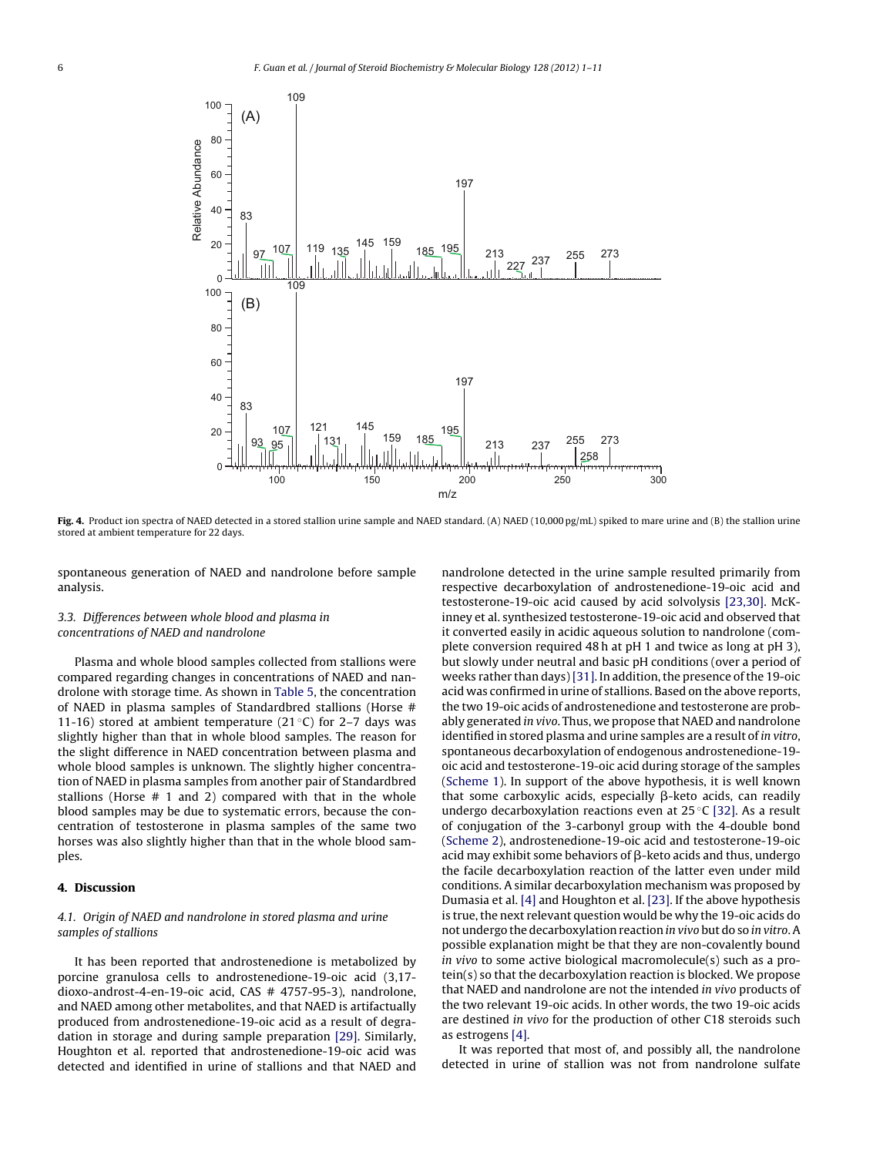<span id="page-5-0"></span>

**Fig. 4.** Product ion spectra of NAED detected in a stored stallion urine sample and NAED standard. (A) NAED (10,000 pg/mL) spiked to mare urine and (B) the stallion urine stored at ambient temperature for 22 days.

spontaneous generation of NAED and nandrolone before sample analysis.

## 3.3. Differences between whole blood and plasma in concentrations of NAED and nandrolone

Plasma and whole blood samples collected from stallions were compared regarding changes in concentrations of NAED and nandrolone with storage time. As shown in [Table](#page-8-0) 5, the concentration of NAED in plasma samples of Standardbred stallions (Horse # 11-16) stored at ambient temperature (21 $°C$ ) for 2–7 days was slightly higher than that in whole blood samples. The reason for the slight difference in NAED concentration between plasma and whole blood samples is unknown. The slightly higher concentration of NAED in plasma samples from another pair of Standardbred stallions (Horse # 1 and 2) compared with that in the whole blood samples may be due to systematic errors, because the concentration of testosterone in plasma samples of the same two horses was also slightly higher than that in the whole blood samples.

## **4. Discussion**

## 4.1. Origin of NAED and nandrolone in stored plasma and urine samples of stallions

It has been reported that androstenedione is metabolized by porcine granulosa cells to androstenedione-19-oic acid (3,17 dioxo-androst-4-en-19-oic acid, CAS # 4757-95-3), nandrolone, and NAED among other metabolites, and that NAED is artifactually produced from androstenedione-19-oic acid as a result of degradation in storage and during sample preparation [\[29\].](#page-10-0) Similarly, Houghton et al. reported that androstenedione-19-oic acid was detected and identified in urine of stallions and that NAED and

nandrolone detected in the urine sample resulted primarily from respective decarboxylation of androstenedione-19-oic acid and testosterone-19-oic acid caused by acid solvolysis [\[23,30\].](#page-10-0) McKinney et al. synthesized testosterone-19-oic acid and observed that it converted easily in acidic aqueous solution to nandrolone (complete conversion required 48 h at pH 1 and twice as long at pH 3), but slowly under neutral and basic pH conditions (over a period of weeks rather than days) [\[31\].](#page-10-0) In addition, the presence of the 19-oic acid was confirmed in urine of stallions. Based on the above reports, the two 19-oic acids of androstenedione and testosterone are probably generated in vivo. Thus, we propose that NAED and nandrolone identified in stored plasma and urine samples are a result of in vitro, spontaneous decarboxylation of endogenous androstenedione-19 oic acid and testosterone-19-oic acid during storage of the samples [\(Scheme](#page-7-0) 1). In support of the above hypothesis, it is well known that some carboxylic acids, especially  $\beta$ -keto acids, can readily undergo decarboxylation reactions even at  $25^{\circ}$ C [\[32\].](#page-10-0) As a result of conjugation of the 3-carbonyl group with the 4-double bond [\(Scheme](#page-9-0) 2), androstenedione-19-oic acid and testosterone-19-oic acid may exhibit some behaviors of  $\beta$ -keto acids and thus, undergo the facile decarboxylation reaction of the latter even under mild conditions. A similar decarboxylation mechanism was proposed by Dumasia et al. [\[4\]](#page-9-0) and Houghton et al. [\[23\].](#page-10-0) If the above hypothesis is true, the next relevant question would be why the 19-oic acids do not undergo the decarboxylation reaction in vivo but do so in vitro. A possible explanation might be that they are non-covalently bound in vivo to some active biological macromolecule(s) such as a protein(s) so that the decarboxylation reaction is blocked. We propose that NAED and nandrolone are not the intended in vivo products of the two relevant 19-oic acids. In other words, the two 19-oic acids are destined in vivo for the production of other C18 steroids such as estrogens [\[4\].](#page-9-0)

It was reported that most of, and possibly all, the nandrolone detected in urine of stallion was not from nandrolone sulfate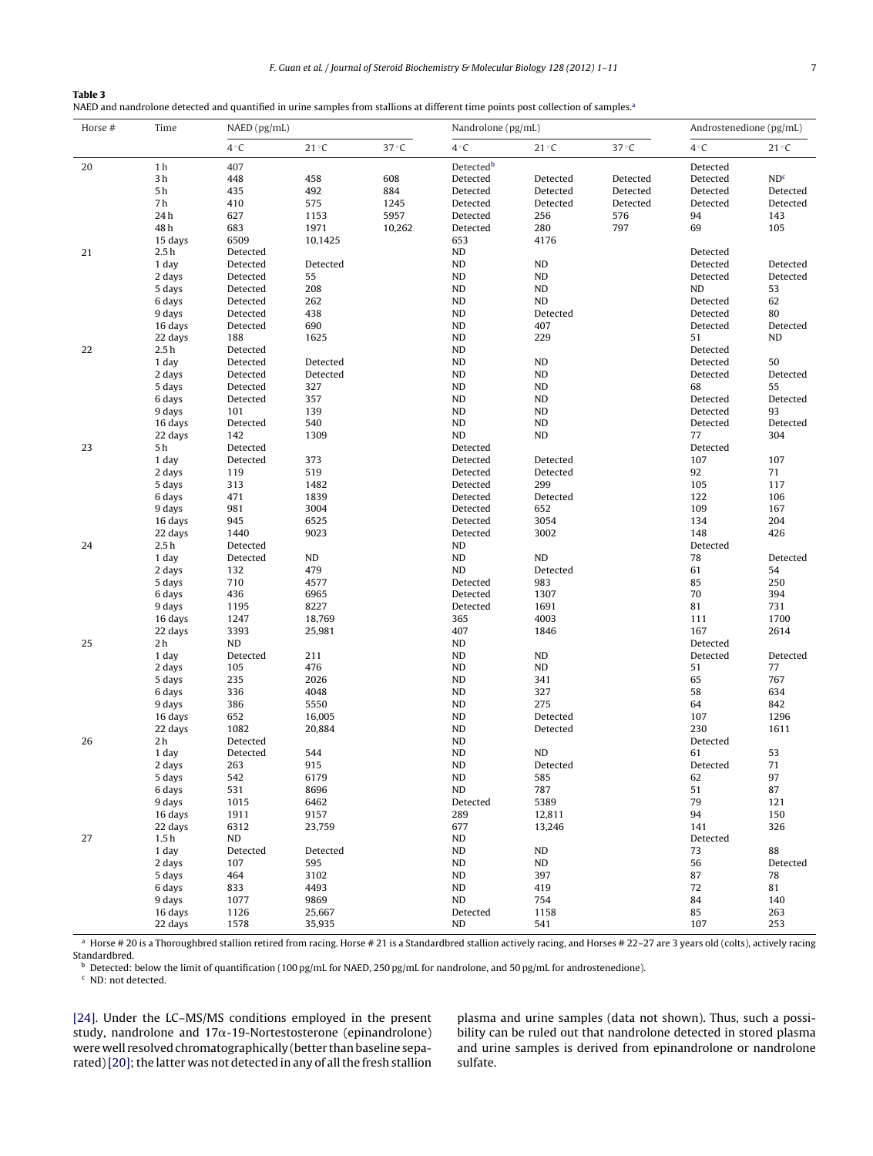<span id="page-6-0"></span>

| Table 3                                                                                                                                       |
|-----------------------------------------------------------------------------------------------------------------------------------------------|
| NAED and nandrolone detected and quantified in urine samples from stallions at different time points post collection of samples. <sup>3</sup> |

| Horse # | Time             | NAED (pg/mL)         |               |                | Nandrolone (pg/mL) |                |                | Androstenedione (pg/mL) |                 |  |
|---------|------------------|----------------------|---------------|----------------|--------------------|----------------|----------------|-------------------------|-----------------|--|
|         |                  | $4^{\circ}C$         | $21^{\circ}C$ | $37^{\circ}$ C | $4^{\circ}C$       | 21 °C          | $37^{\circ}$ C | $4^{\circ}C$            | $21^{\circ}C$   |  |
| 20      | 1 <sub>h</sub>   | 407                  |               |                | Detectedb          |                |                | Detected                |                 |  |
|         | 3h               | 448                  | 458           | 608            | Detected           | Detected       | Detected       | Detected                | ND <sup>c</sup> |  |
|         | 5 <sub>h</sub>   | 435                  | 492           | 884            | Detected           | Detected       | Detected       | Detected                | Detected        |  |
|         | 7 h              | 410                  | 575           | 1245           | Detected           | Detected       | Detected       | Detected                | Detected        |  |
|         | 24h              | 627                  | 1153          | 5957           | Detected           | 256            | 576            | 94                      | 143             |  |
|         | 48h              | 683                  | 1971          | 10,262         | Detected           | 280            | 797            | 69                      | 105             |  |
|         | 15 days          | 6509                 | 10,1425       |                | 653                | 4176           |                |                         |                 |  |
| 21      | 2.5h             | Detected             |               |                | <b>ND</b>          |                |                | Detected                |                 |  |
|         | 1 day            | Detected             | Detected      |                | ND                 | ND             |                | Detected                | Detected        |  |
|         | 2 days           | Detected             | 55            |                | <b>ND</b>          | ND<br>ND       |                | Detected                | Detected        |  |
|         | 5 days           | Detected             | 208           |                | ND                 |                |                | ND                      | 53              |  |
|         | 6 days<br>9 days | Detected<br>Detected | 262<br>438    |                | ND<br>ND           | ND<br>Detected |                | Detected<br>Detected    | 62<br>80        |  |
|         | 16 days          | Detected             | 690           |                | ND                 | 407            |                | Detected                | Detected        |  |
|         | 22 days          | 188                  | 1625          |                | <b>ND</b>          | 229            |                | 51                      | ND              |  |
| 22      | 2.5h             | Detected             |               |                | <b>ND</b>          |                |                | Detected                |                 |  |
|         | 1 day            | Detected             | Detected      |                | <b>ND</b>          | ND             |                | Detected                | 50              |  |
|         | 2 days           | Detected             | Detected      |                | ND                 | ND             |                | Detected                | Detected        |  |
|         | 5 days           | Detected             | 327           |                | <b>ND</b>          | ND             |                | 68                      | 55              |  |
|         | 6 days           | Detected             | 357           |                | ND                 | ND             |                | Detected                | Detected        |  |
|         | 9 days           | 101                  | 139           |                | ND                 | ND             |                | Detected                | 93              |  |
|         | 16 days          | Detected             | 540           |                | ND                 | ND             |                | Detected                | Detected        |  |
|         | 22 days          | 142                  | 1309          |                | ND                 | ND             |                | 77                      | 304             |  |
| 23      | 5 h              | Detected             |               |                | Detected           |                |                | Detected                |                 |  |
|         | 1 day            | Detected             | 373           |                | Detected           | Detected       |                | 107                     | 107             |  |
|         | 2 days           | 119                  | 519           |                | Detected           | Detected       |                | 92                      | 71              |  |
|         | 5 days           | 313                  | 1482          |                | Detected           | 299            |                | 105                     | 117             |  |
|         | 6 days           | 471                  | 1839          |                | Detected           | Detected       |                | 122                     | 106             |  |
|         | 9 days           | 981                  | 3004          |                | Detected           | 652            |                | 109                     | 167             |  |
|         | 16 days          | 945                  | 6525          |                | Detected           | 3054           |                | 134                     | 204             |  |
|         | 22 days          | 1440                 | 9023          |                | Detected           | 3002           |                | 148                     | 426             |  |
| 24      | 2.5h             | Detected             |               |                | ND                 |                |                | Detected                |                 |  |
|         | 1 day<br>2 days  | Detected             | ND<br>479     |                | ND<br>ND           | ND<br>Detected |                | 78<br>61                | Detected<br>54  |  |
|         | 5 days           | 132<br>710           | 4577          |                | Detected           | 983            |                | 85                      | 250             |  |
|         | 6 days           | 436                  | 6965          |                | Detected           | 1307           |                | 70                      | 394             |  |
|         | 9 days           | 1195                 | 8227          |                | Detected           | 1691           |                | 81                      | 731             |  |
|         | 16 days          | 1247                 | 18,769        |                | 365                | 4003           |                | 111                     | 1700            |  |
|         | 22 days          | 3393                 | 25,981        |                | 407                | 1846           |                | 167                     | 2614            |  |
| 25      | 2 h              | ND                   |               |                | ND                 |                |                | Detected                |                 |  |
|         | 1 day            | Detected             | 211           |                | ND                 | ND             |                | Detected                | Detected        |  |
|         | 2 days           | 105                  | 476           |                | ND                 | ND             |                | 51                      | $77 \,$         |  |
|         | 5 days           | 235                  | 2026          |                | <b>ND</b>          | 341            |                | 65                      | 767             |  |
|         | 6 days           | 336                  | 4048          |                | <b>ND</b>          | 327            |                | 58                      | 634             |  |
|         | 9 days           | 386                  | 5550          |                | ND                 | 275            |                | 64                      | 842             |  |
|         | 16 days          | 652                  | 16,005        |                | ${\sf ND}$         | Detected       |                | 107                     | 1296            |  |
|         | 22 days          | 1082                 | 20,884        |                | <b>ND</b>          | Detected       |                | 230                     | 1611            |  |
| 26      | 2 h              | Detected             |               |                | <b>ND</b>          |                |                | Detected                |                 |  |
|         | 1 day            | Detected             | 544           |                | $\mathsf{ND}$      | ND             |                | 61                      | 53              |  |
|         | 2 days           | 263                  | 915           |                | ND                 | Detected       |                | Detected                | $71\,$          |  |
|         | 5 days           | 542                  | 6179          |                | ND                 | 585            |                | 62                      | 97              |  |
|         | 6 days           | 531                  | 8696          |                | ND                 | 787            |                | 51                      | 87              |  |
|         | 9 days           | 1015                 | 6462          |                | Detected           | 5389           |                | 79                      | 121             |  |
|         | 16 days          | 1911                 | 9157          |                | 289                | 12,811         |                | 94                      | 150<br>326      |  |
| 27      | 22 days<br>1.5h  | 6312<br>ND           | 23,759        |                | 677<br>ND          | 13,246         |                | 141<br>Detected         |                 |  |
|         | 1 day            | Detected             | Detected      |                | <b>ND</b>          | <b>ND</b>      |                | 73                      | 88              |  |
|         | 2 days           | 107                  | 595           |                | <b>ND</b>          | ND             |                | 56                      | Detected        |  |
|         | 5 days           | 464                  | 3102          |                | <b>ND</b>          | 397            |                | 87                      | 78              |  |
|         | 6 days           | 833                  | 4493          |                | ND                 | 419            |                | 72                      | 81              |  |
|         | 9 days           | 1077                 | 9869          |                | ND                 | 754            |                | 84                      | 140             |  |
|         | 16 days          | 1126                 | 25,667        |                | Detected           | 1158           |                | 85                      | 263             |  |
|         | 22 days          | 1578                 | 35,935        |                | ND                 | 541            |                | 107                     | 253             |  |

a Horse # 20 is a Thoroughbred stallion retired from racing. Horse # 21 is a Standardbred stallion actively racing, and Horses # 22-27 are 3 years old (colts), actively racing Standardbred.

**b** Detected: below the limit of quantification (100 pg/mL for NAED, 250 pg/mL for nandrolone, and 50 pg/mL for androstenedione).

<sup>c</sup> ND: not detected.

[\[24\].](#page-10-0) Under the LC–MS/MS conditions employed in the present study, nandrolone and  $17\alpha$ -19-Nortestosterone (epinandrolone) were well resolved chromatographically (better than baseline separated) [20]; the latter was not detected in any of all the fresh stallion plasma and urine samples (data not shown). Thus, such a possibility can be ruled out that nandrolone detected in stored plasma and urine samples is derived from epinandrolone or nandrolone sulfate.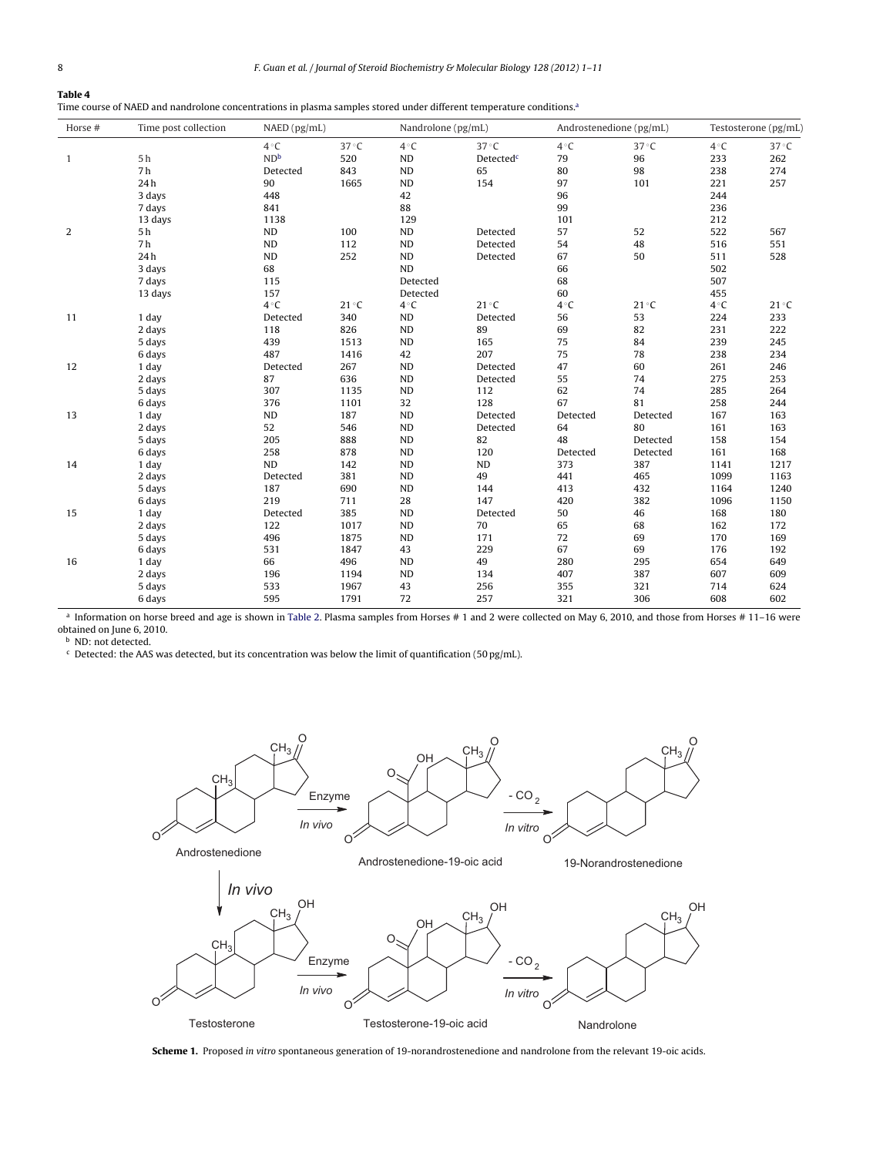## <span id="page-7-0"></span>**Table 4**

Time course of NAED and nandrolone concentrations in plasma samples stored under different temperature conditions.<sup>a</sup>

| Horse #      | Time post collection | NAED (pg/mL)    |       | Nandrolone (pg/mL) |                       | Androstenedione (pg/mL) |                | Testosterone (pg/mL) |                |  |
|--------------|----------------------|-----------------|-------|--------------------|-----------------------|-------------------------|----------------|----------------------|----------------|--|
|              |                      | $4^{\circ}C$    | 37 °C | $4^{\circ}C$       | $37^{\circ}$ C        | $4^{\circ}C$            | $37^{\circ}$ C | $4^{\circ}C$         | $37^{\circ}$ C |  |
| $\mathbf{1}$ | 5 <sub>h</sub>       | ND <sup>b</sup> | 520   | ND                 | Detected <sup>c</sup> | 79                      | 96             | 233                  | 262            |  |
|              | 7 <sub>h</sub>       | Detected        | 843   | ${\sf ND}$         | 65                    | 80                      | 98             | 238                  | 274            |  |
|              | 24h                  | 90              | 1665  | ND                 | 154                   | 97                      | 101            | 221                  | 257            |  |
|              | 3 days               | 448             |       | 42                 |                       | 96                      |                | 244                  |                |  |
|              | 7 days               | 841             |       | 88                 |                       | 99                      |                | 236                  |                |  |
|              | 13 days              | 1138            |       | 129                |                       | 101                     |                | 212                  |                |  |
| 2            | 5 h                  | <b>ND</b>       | 100   | ND                 | Detected              | 57                      | 52             | 522                  | 567            |  |
|              | 7 <sub>h</sub>       | ND              | 112   | ND                 | Detected              | 54                      | 48             | 516                  | 551            |  |
|              | 24h                  | <b>ND</b>       | 252   | <b>ND</b>          | Detected              | 67                      | 50             | 511                  | 528            |  |
|              | 3 days               | 68              |       | <b>ND</b>          |                       | 66                      |                | 502                  |                |  |
|              | 7 days               | 115             |       | Detected           |                       | 68                      |                | 507                  |                |  |
|              | 13 days              | 157             |       | Detected           |                       | 60                      |                | 455                  |                |  |
|              |                      | $4^{\circ}C$    | 21 °C | $4^{\circ}C$       | $21^{\circ}C$         | $4^{\circ}C$            | 21 °C          | $4^{\circ}C$         | $21^{\circ}C$  |  |
| 11           | 1 day                | Detected        | 340   | <b>ND</b>          | Detected              | 56                      | 53             | 224                  | 233            |  |
|              | 2 days               | 118             | 826   | ND                 | 89                    | 69                      | 82             | 231                  | 222            |  |
|              | 5 days               | 439             | 1513  | ND                 | 165                   | 75                      | 84             | 239                  | 245            |  |
|              | 6 days               | 487             | 1416  | 42                 | 207                   | 75                      | 78             | 238                  | 234            |  |
| 12           | 1 day                | Detected        | 267   | ND                 | Detected              | 47                      | 60             | 261                  | 246            |  |
|              | 2 days               | 87              | 636   | ND                 | Detected              | 55                      | 74             | 275                  | 253            |  |
|              | 5 days               | 307             | 1135  | ${\sf ND}$         | 112                   | 62                      | 74             | 285                  | 264            |  |
|              | 6 days               | 376             | 1101  | 32                 | 128                   | 67                      | 81             | 258                  | 244            |  |
| 13           | 1 day                | ND              | 187   | ND                 | Detected              | Detected                | Detected       | 167                  | 163            |  |
|              | 2 days               | 52              | 546   | ND                 | Detected              | 64                      | 80             | 161                  | 163            |  |
|              | 5 days               | 205             | 888   | <b>ND</b>          | 82                    | 48                      | Detected       | 158                  | 154            |  |
|              | 6 days               | 258             | 878   | ND                 | 120                   | Detected                | Detected       | 161                  | 168            |  |
| 14           | 1 day                | ND              | 142   | ND                 | ND                    | 373                     | 387            | 1141                 | 1217           |  |
|              | 2 days               | Detected        | 381   | ND                 | 49                    | 441                     | 465            | 1099                 | 1163           |  |
|              | 5 days               | 187             | 690   | ND                 | 144                   | 413                     | 432            | 1164                 | 1240           |  |
|              | 6 days               | 219             | 711   | 28                 | 147                   | 420                     | 382            | 1096                 | 1150           |  |
| 15           | 1 day                | Detected        | 385   | <b>ND</b>          | Detected              | 50                      | 46             | 168                  | 180            |  |
|              | 2 days               | 122             | 1017  | <b>ND</b>          | 70                    | 65                      | 68             | 162                  | 172            |  |
|              | 5 days               | 496             | 1875  | ND                 | 171                   | 72                      | 69             | 170                  | 169            |  |
|              | 6 days               | 531             | 1847  | 43                 | 229                   | 67                      | 69             | 176                  | 192            |  |
| 16           | 1 day                | 66              | 496   | <b>ND</b>          | 49                    | 280                     | 295            | 654                  | 649            |  |
|              | 2 days               | 196             | 1194  | <b>ND</b>          | 134                   | 407                     | 387            | 607                  | 609            |  |
|              | 5 days               | 533             | 1967  | 43                 | 256                   | 355                     | 321            | 714                  | 624            |  |
|              | 6 days               | 595             | 1791  | 72                 | 257                   | 321                     | 306            | 608                  | 602            |  |

<sup>a</sup> Information on horse breed and age is shown in [Table](#page-3-0) 2. Plasma samples from Horses # 1 and 2 were collected on May 6, 2010, and those from Horses # 11–16 were obtained on June 6, 2010.

**b** ND: not detected.

 $c$  Detected: the AAS was detected, but its concentration was below the limit of quantification (50 pg/mL).



**Scheme 1.** Proposed in vitro spontaneous generation of 19-norandrostenedione and nandrolone from the relevant 19-oic acids.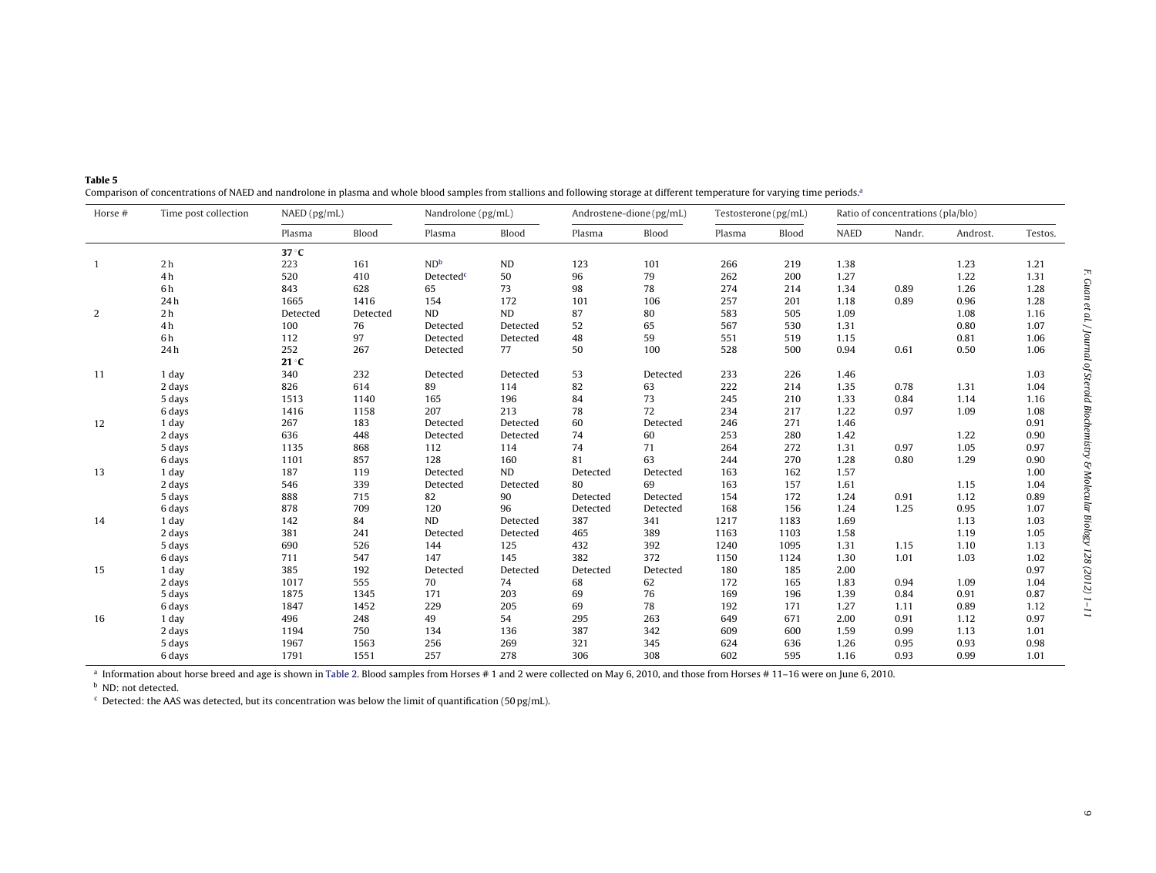| Horse #        | Time post collection | NAED (pg/mL)  |          | Nandrolone (pg/mL)    |          | Androstene-dione (pg/mL) |          | Testosterone (pg/mL) |       | Ratio of concentrations (pla/blo) |        |          |         |
|----------------|----------------------|---------------|----------|-----------------------|----------|--------------------------|----------|----------------------|-------|-----------------------------------|--------|----------|---------|
|                |                      | Plasma        | Blood    | Plasma                | Blood    | Plasma                   | Blood    | Plasma               | Blood | <b>NAED</b>                       | Nandr. | Androst. | Testos. |
|                |                      | $37^\circ C$  |          |                       |          |                          |          |                      |       |                                   |        |          |         |
| $\overline{1}$ | 2 <sub>h</sub>       | 223           | 161      | ND <sup>b</sup>       | ND       | 123                      | 101      | 266                  | 219   | 1.38                              |        | 1.23     | 1.21    |
|                | 4h                   | 520           | 410      | Detected <sup>c</sup> | 50       | 96                       | 79       | 262                  | 200   | 1.27                              |        | 1.22     | 1.31    |
|                | 6h                   | 843           | 628      | 65                    | 73       | 98                       | 78       | 274                  | 214   | 1.34                              | 0.89   | 1.26     | 1.28    |
|                | 24h                  | 1665          | 1416     | 154                   | 172      | 101                      | 106      | 257                  | 201   | 1.18                              | 0.89   | 0.96     | 1.28    |
| 2              | 2 <sub>h</sub>       | Detected      | Detected | <b>ND</b>             | ND       | 87                       | 80       | 583                  | 505   | 1.09                              |        | 1.08     | 1.16    |
|                | 4h                   | 100           | 76       | Detected              | Detected | 52                       | 65       | 567                  | 530   | 1.31                              |        | 0.80     | 1.07    |
|                | 6 h                  | 112           | 97       | Detected              | Detected | 48                       | 59       | 551                  | 519   | 1.15                              |        | 0.81     | 1.06    |
|                | 24h                  | 252           | 267      | Detected              | 77       | 50                       | 100      | 528                  | 500   | 0.94                              | 0.61   | 0.50     | 1.06    |
|                |                      | $21^{\circ}C$ |          |                       |          |                          |          |                      |       |                                   |        |          |         |
| 11             | 1 day                | 340           | 232      | Detected              | Detected | 53                       | Detected | 233                  | 226   | 1.46                              |        |          | 1.03    |
|                | 2 days               | 826           | 614      | 89                    | 114      | 82                       | 63       | 222                  | 214   | 1.35                              | 0.78   | 1.31     | 1.04    |
|                | 5 days               | 1513          | 1140     | 165                   | 196      | 84                       | 73       | 245                  | 210   | 1.33                              | 0.84   | 1.14     | 1.16    |
|                | 6 days               | 1416          | 1158     | 207                   | 213      | 78                       | 72       | 234                  | 217   | 1.22                              | 0.97   | 1.09     | 1.08    |
| 12             | 1 day                | 267           | 183      | Detected              | Detected | 60                       | Detected | 246                  | 271   | 1.46                              |        |          | 0.91    |
|                | 2 days               | 636           | 448      | Detected              | Detected | 74                       | 60       | 253                  | 280   | 1.42                              |        | 1.22     | 0.90    |
|                | 5 days               | 1135          | 868      | 112                   | 114      | 74                       | 71       | 264                  | 272   | 1.31                              | 0.97   | 1.05     | 0.97    |
|                | 6 days               | 1101          | 857      | 128                   | 160      | 81                       | 63       | 244                  | 270   | 1.28                              | 0.80   | 1.29     | 0.90    |
| 13             | 1 day                | 187           | 119      | Detected              | ND       | Detected                 | Detected | 163                  | 162   | 1.57                              |        |          | 1.00    |
|                | 2 days               | 546           | 339      | Detected              | Detected | 80                       | 69       | 163                  | 157   | 1.61                              |        | 1.15     | 1.04    |
|                | 5 days               | 888           | 715      | 82                    | 90       | Detected                 | Detected | 154                  | 172   | 1.24                              | 0.91   | 1.12     | 0.89    |
|                | 6 days               | 878           | 709      | 120                   | 96       | Detected                 | Detected | 168                  | 156   | 1.24                              | 1.25   | 0.95     | 1.07    |
| 14             | 1 day                | 142           | 84       | ND                    | Detected | 387                      | 341      | 1217                 | 1183  | 1.69                              |        | 1.13     | 1.03    |
|                | 2 days               | 381           | 241      | Detected              | Detected | 465                      | 389      | 1163                 | 1103  | 1.58                              |        | 1.19     | 1.05    |
|                | 5 days               | 690           | 526      | 144                   | 125      | 432                      | 392      | 1240                 | 1095  | 1.31                              | 1.15   | 1.10     | 1.13    |
|                | 6 days               | 711           | 547      | 147                   | 145      | 382                      | 372      | 1150                 | 1124  | 1.30                              | 1.01   | 1.03     | 1.02    |
| 15             | 1 day                | 385           | 192      | Detected              | Detected | Detected                 | Detected | 180                  | 185   | 2.00                              |        |          | 0.97    |
|                | 2 days               | 1017          | 555      | 70                    | 74       | 68                       | 62       | 172                  | 165   | 1.83                              | 0.94   | 1.09     | 1.04    |
|                | 5 days               | 1875          | 1345     | 171                   | 203      | 69                       | 76       | 169                  | 196   | 1.39                              | 0.84   | 0.91     | 0.87    |
|                | 6 days               | 1847          | 1452     | 229                   | 205      | 69                       | 78       | 192                  | 171   | 1.27                              | 1.11   | 0.89     | 1.12    |
| 16             | 1 day                | 496           | 248      | 49                    | 54       | 295                      | 263      | 649                  | 671   | 2.00                              | 0.91   | 1.12     | 0.97    |
|                | 2 days               | 1194          | 750      | 134                   | 136      | 387                      | 342      | 609                  | 600   | 1.59                              | 0.99   | 1.13     | 1.01    |
|                | 5 days               | 1967          | 1563     | 256                   | 269      | 321                      | 345      | 624                  | 636   | 1.26                              | 0.95   | 0.93     | 0.98    |
|                | 6 days               | 1791          | 1551     | 257                   | 278      | 306                      | 308      | 602                  | 595   | 1.16                              | 0.93   | 0.99     | 1.01    |

<span id="page-8-0"></span>**Table 5**Comparison of concentrations of NAED and nandrolone in plasma and whole blood samples from stallions and following storage at different temperature for varying time periods.<sup>a</sup>

 $^{\text{a}}$  Information about horse breed and age is shown in [Table](#page-3-0) 2. Blood samples from Horses # 1 and 2 were collected on May 6, 2010, and those from Horses # 11–16 were on June 6, 2010.

<sup>b</sup> ND: not detected.

 $c$  Detected: the AAS was detected, but its concentration was below the limit of quantification (50 pg/mL).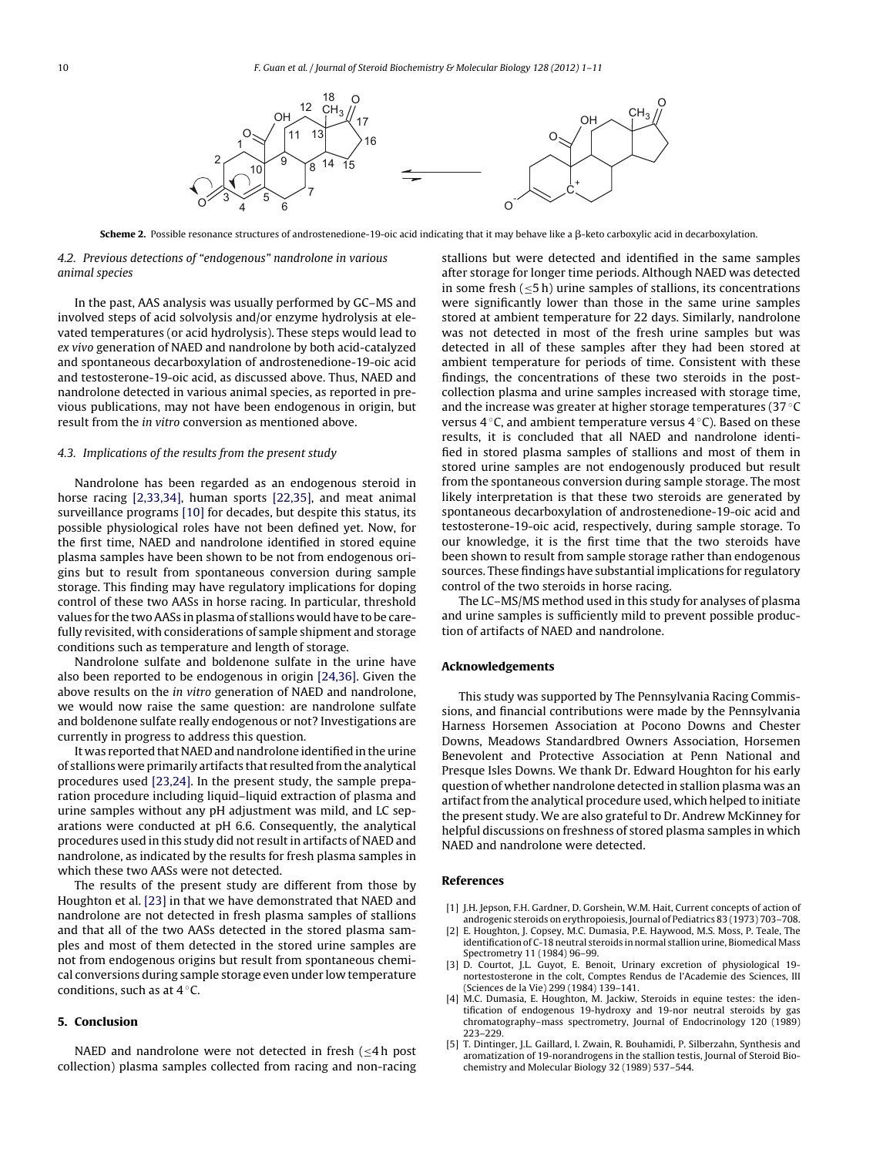<span id="page-9-0"></span>

**Scheme 2.** Possible resonance structures of androstenedione-19-oic acid indicating that it may behave like a β-keto carboxylic acid in decarboxylation.

## 4.2. Previous detections of "endogenous" nandrolone in various animal species

In the past, AAS analysis was usually performed by GC–MS and involved steps of acid solvolysis and/or enzyme hydrolysis at elevated temperatures (or acid hydrolysis). These steps would lead to ex vivo generation of NAED and nandrolone by both acid-catalyzed and spontaneous decarboxylation of androstenedione-19-oic acid and testosterone-19-oic acid, as discussed above. Thus, NAED and nandrolone detected in various animal species, as reported in previous publications, may not have been endogenous in origin, but result from the in vitro conversion as mentioned above.

#### 4.3. Implications of the results from the present study

Nandrolone has been regarded as an endogenous steroid in horse racing [2,33,34], human sports [\[22,35\],](#page-10-0) and meat animal surveillance programs [\[10\]](#page-10-0) for decades, but despite this status, its possible physiological roles have not been defined yet. Now, for the first time, NAED and nandrolone identified in stored equine plasma samples have been shown to be not from endogenous origins but to result from spontaneous conversion during sample storage. This finding may have regulatory implications for doping control of these two AASs in horse racing. In particular, threshold values for the twoAASs in plasma of stallions would have to be carefully revisited, with considerations of sample shipment and storage conditions such as temperature and length of storage.

Nandrolone sulfate and boldenone sulfate in the urine have also been reported to be endogenous in origin [\[24,36\].](#page-10-0) Given the above results on the in vitro generation of NAED and nandrolone, we would now raise the same question: are nandrolone sulfate and boldenone sulfate really endogenous or not? Investigations are currently in progress to address this question.

It was reported that NAED and nandrolone identified in the urine of stallions were primarily artifacts that resulted fromthe analytical procedures used [\[23,24\].](#page-10-0) In the present study, the sample preparation procedure including liquid–liquid extraction of plasma and urine samples without any pH adjustment was mild, and LC separations were conducted at pH 6.6. Consequently, the analytical procedures used in this study did not result in artifacts of NAED and nandrolone, as indicated by the results for fresh plasma samples in which these two AASs were not detected.

The results of the present study are different from those by Houghton et al. [\[23\]](#page-10-0) in that we have demonstrated that NAED and nandrolone are not detected in fresh plasma samples of stallions and that all of the two AASs detected in the stored plasma samples and most of them detected in the stored urine samples are not from endogenous origins but result from spontaneous chemical conversions during sample storage even under low temperature conditions, such as at  $4^\circ$ C.

#### **5. Conclusion**

NAED and nandrolone were not detected in fresh ( $\leq 4$  h post collection) plasma samples collected from racing and non-racing stallions but were detected and identified in the same samples after storage for longer time periods. Although NAED was detected in some fresh (≤5 h) urine samples of stallions, its concentrations were significantly lower than those in the same urine samples stored at ambient temperature for 22 days. Similarly, nandrolone was not detected in most of the fresh urine samples but was detected in all of these samples after they had been stored at ambient temperature for periods of time. Consistent with these findings, the concentrations of these two steroids in the postcollection plasma and urine samples increased with storage time, and the increase was greater at higher storage temperatures (37 ◦C versus 4 ◦C, and ambient temperature versus 4 ◦C). Based on these results, it is concluded that all NAED and nandrolone identified in stored plasma samples of stallions and most of them in stored urine samples are not endogenously produced but result from the spontaneous conversion during sample storage. The most likely interpretation is that these two steroids are generated by spontaneous decarboxylation of androstenedione-19-oic acid and testosterone-19-oic acid, respectively, during sample storage. To our knowledge, it is the first time that the two steroids have been shown to result from sample storage rather than endogenous sources. These findings have substantial implications for regulatory control of the two steroids in horse racing.

The LC–MS/MS method used in this study for analyses of plasma and urine samples is sufficiently mild to prevent possible production of artifacts of NAED and nandrolone.

## **Acknowledgements**

This study was supported by The Pennsylvania Racing Commissions, and financial contributions were made by the Pennsylvania Harness Horsemen Association at Pocono Downs and Chester Downs, Meadows Standardbred Owners Association, Horsemen Benevolent and Protective Association at Penn National and Presque Isles Downs. We thank Dr. Edward Houghton for his early question of whether nandrolone detected in stallion plasma was an artifact from the analytical procedure used, which helped to initiate the present study. We are also grateful to Dr. Andrew McKinney for helpful discussions on freshness of stored plasma samples in which NAED and nandrolone were detected.

#### **References**

- [1] J.H. Jepson, F.H. Gardner, D. Gorshein, W.M. Hait, Current concepts of action of androgenic steroids on erythropoiesis, Journal of Pediatrics 83 (1973) 703–708.
- [2] E. Houghton, J. Copsey, M.C. Dumasia, P.E. Haywood, M.S. Moss, P. Teale, The identification of C-18 neutral steroids in normal stallion urine, Biomedical Mass Spectrometry 11 (1984) 96–99.
- [3] D. Courtot, J.L. Guyot, E. Benoit, Urinary excretion of physiological 19 nortestosterone in the colt, Comptes Rendus de l'Academie des Sciences, III (Sciences de la Vie) 299 (1984) 139–141.
- [4] M.C. Dumasia, E. Houghton, M. Jackiw, Steroids in equine testes: the identification of endogenous 19-hydroxy and 19-nor neutral steroids by gas chromatography–mass spectrometry, Journal of Endocrinology 120 (1989) 223–229.
- [5] T. Dintinger, J.L. Gaillard, I. Zwain, R. Bouhamidi, P. Silberzahn, Synthesis and aromatization of 19-norandrogens in the stallion testis, Journal of Steroid Biochemistry and Molecular Biology 32 (1989) 537–544.